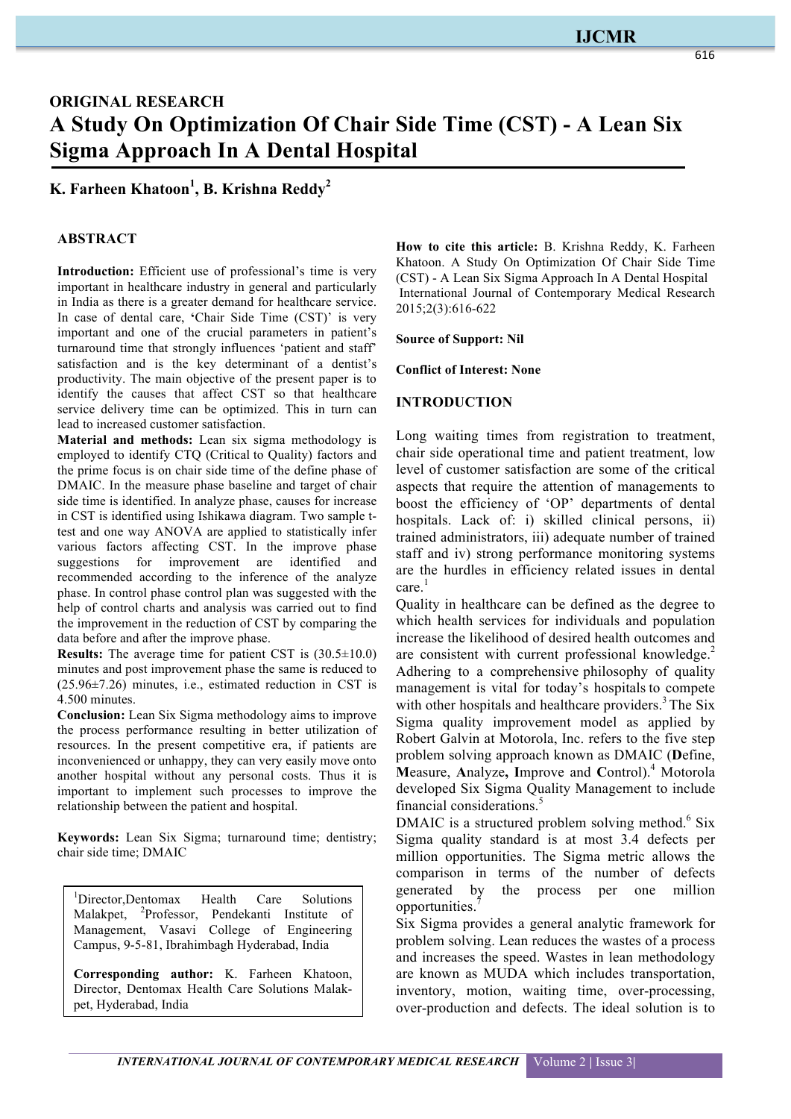## **IJCMR**

# **ORIGINAL RESEARCH A Study On Optimization Of Chair Side Time (CST) - A Lean Six Sigma Approach In A Dental Hospital**

**K. Farheen Khatoon<sup>1</sup> , B. Krishna Reddy2**

#### **ABSTRACT**

**Introduction:** Efficient use of professional's time is very important in healthcare industry in general and particularly in India as there is a greater demand for healthcare service. In case of dental care, **'**Chair Side Time (CST)' is very important and one of the crucial parameters in patient's turnaround time that strongly influences 'patient and staff' satisfaction and is the key determinant of a dentist's productivity. The main objective of the present paper is to identify the causes that affect CST so that healthcare service delivery time can be optimized. This in turn can lead to increased customer satisfaction.

**Material and methods:** Lean six sigma methodology is employed to identify CTQ (Critical to Quality) factors and the prime focus is on chair side time of the define phase of DMAIC. In the measure phase baseline and target of chair side time is identified. In analyze phase, causes for increase in CST is identified using Ishikawa diagram. Two sample ttest and one way ANOVA are applied to statistically infer various factors affecting CST. In the improve phase suggestions for improvement are identified and recommended according to the inference of the analyze phase. In control phase control plan was suggested with the help of control charts and analysis was carried out to find the improvement in the reduction of CST by comparing the data before and after the improve phase.

**Results:** The average time for patient CST is (30.5±10.0) minutes and post improvement phase the same is reduced to (25.96±7.26) minutes, i.e., estimated reduction in CST is 4.500 minutes.

**Conclusion:** Lean Six Sigma methodology aims to improve the process performance resulting in better utilization of resources. In the present competitive era, if patients are inconvenienced or unhappy, they can very easily move onto another hospital without any personal costs. Thus it is important to implement such processes to improve the relationship between the patient and hospital.

**Keywords:** Lean Six Sigma; turnaround time; dentistry; chair side time; DMAIC

1 Director,Dentomax Health Care Solutions Malakpet, <sup>2</sup>Professor, Pendekanti Institute of Management, Vasavi College of Engineering Campus, 9-5-81, Ibrahimbagh Hyderabad, India

**Corresponding author:** K. Farheen Khatoon, Director, Dentomax Health Care Solutions Malakpet, Hyderabad, India

**How to cite this article:** B. Krishna Reddy, K. Farheen Khatoon. A Study On Optimization Of Chair Side Time (CST) - A Lean Six Sigma Approach In A Dental Hospital International Journal of Contemporary Medical Research 2015;2(3):616-622

**Source of Support: Nil**

**Conflict of Interest: None**

#### **INTRODUCTION**

Long waiting times from registration to treatment, chair side operational time and patient treatment, low level of customer satisfaction are some of the critical aspects that require the attention of managements to boost the efficiency of 'OP' departments of dental hospitals. Lack of: i) skilled clinical persons, ii) trained administrators, iii) adequate number of trained staff and iv) strong performance monitoring systems are the hurdles in efficiency related issues in dental care. 1

Quality in healthcare can be defined as the degree to which health services for individuals and population increase the likelihood of desired health outcomes and are consistent with current professional knowledge.<sup>2</sup> Adhering to a comprehensive philosophy of quality management is vital for today's hospitals to compete with other hospitals and healthcare providers.<sup>3</sup> The Six Sigma quality improvement model as applied by Robert Galvin at Motorola, Inc. refers to the five step problem solving approach known as DMAIC (**D**efine, **M**easure, **A**nalyze**, I**mprove and **C**ontrol).<sup>4</sup> Motorola developed Six Sigma Quality Management to include financial considerations.<sup>5</sup>

DMAIC is a structured problem solving method. $6$  Six Sigma quality standard is at most 3.4 defects per million opportunities. The Sigma metric allows the comparison in terms of the number of defects generated by the process per one million opportunities.

Six Sigma provides a general analytic framework for problem solving. Lean reduces the wastes of a process and increases the speed. Wastes in lean methodology are known as MUDA which includes transportation, inventory, motion, waiting time, over-processing, over-production and defects. The ideal solution is to

616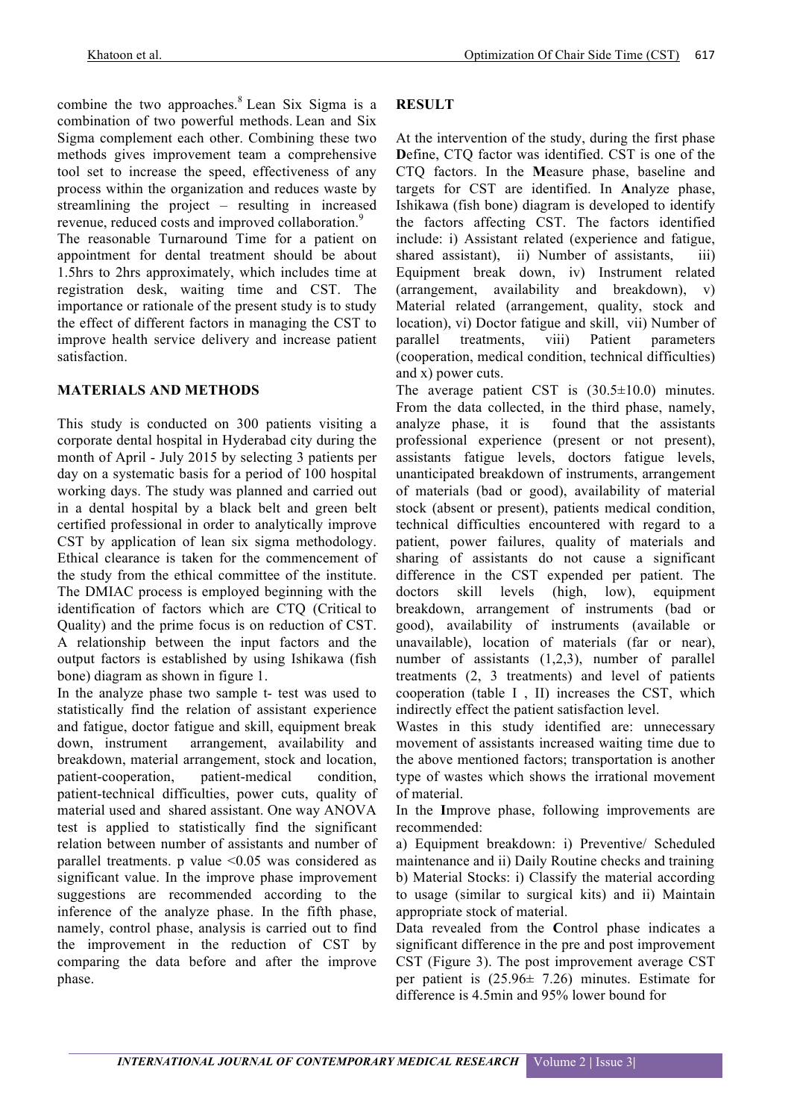combine the two approaches. $8$  Lean Six Sigma is a combination of two powerful methods. Lean and Six Sigma complement each other. Combining these two methods gives improvement team a comprehensive tool set to increase the speed, effectiveness of any process within the organization and reduces waste by streamlining the project – resulting in increased revenue, reduced costs and improved collaboration.<sup>9</sup>

The reasonable Turnaround Time for a patient on appointment for dental treatment should be about 1.5hrs to 2hrs approximately, which includes time at registration desk, waiting time and CST. The importance or rationale of the present study is to study the effect of different factors in managing the CST to improve health service delivery and increase patient satisfaction.

#### **MATERIALS AND METHODS**

This study is conducted on 300 patients visiting a corporate dental hospital in Hyderabad city during the month of April - July 2015 by selecting 3 patients per day on a systematic basis for a period of 100 hospital working days. The study was planned and carried out in a dental hospital by a black belt and green belt certified professional in order to analytically improve CST by application of lean six sigma methodology. Ethical clearance is taken for the commencement of the study from the ethical committee of the institute. The DMIAC process is employed beginning with the identification of factors which are CTQ (Critical to Quality) and the prime focus is on reduction of CST. A relationship between the input factors and the output factors is established by using Ishikawa (fish bone) diagram as shown in figure 1.

In the analyze phase two sample t- test was used to statistically find the relation of assistant experience and fatigue, doctor fatigue and skill, equipment break down, instrument arrangement, availability and breakdown, material arrangement, stock and location, patient-cooperation, patient-medical condition, patient-technical difficulties, power cuts, quality of material used and shared assistant. One way ANOVA test is applied to statistically find the significant relation between number of assistants and number of parallel treatments. p value  $\leq 0.05$  was considered as significant value. In the improve phase improvement suggestions are recommended according to the inference of the analyze phase. In the fifth phase, namely, control phase, analysis is carried out to find the improvement in the reduction of CST by comparing the data before and after the improve phase.

### **RESULT**

At the intervention of the study, during the first phase **D**efine, CTQ factor was identified. CST is one of the CTQ factors. In the **M**easure phase, baseline and targets for CST are identified. In **A**nalyze phase, Ishikawa (fish bone) diagram is developed to identify the factors affecting CST. The factors identified include: i) Assistant related (experience and fatigue, shared assistant), ii) Number of assistants, iii) Equipment break down, iv) Instrument related (arrangement, availability and breakdown), v) Material related (arrangement, quality, stock and location), vi) Doctor fatigue and skill, vii) Number of parallel treatments, viii) Patient parameters (cooperation, medical condition, technical difficulties) and x) power cuts.

The average patient CST is  $(30.5 \pm 10.0)$  minutes. From the data collected, in the third phase, namely, analyze phase, it is found that the assistants professional experience (present or not present), assistants fatigue levels, doctors fatigue levels, unanticipated breakdown of instruments, arrangement of materials (bad or good), availability of material stock (absent or present), patients medical condition, technical difficulties encountered with regard to a patient, power failures, quality of materials and sharing of assistants do not cause a significant difference in the CST expended per patient. The doctors skill levels (high, low), equipment breakdown, arrangement of instruments (bad or good), availability of instruments (available or unavailable), location of materials (far or near), number of assistants (1,2,3), number of parallel treatments (2, 3 treatments) and level of patients cooperation (table I , II) increases the CST, which indirectly effect the patient satisfaction level.

Wastes in this study identified are: unnecessary movement of assistants increased waiting time due to the above mentioned factors; transportation is another type of wastes which shows the irrational movement of material.

In the **I**mprove phase, following improvements are recommended:

a) Equipment breakdown: i) Preventive/ Scheduled maintenance and ii) Daily Routine checks and training b) Material Stocks: i) Classify the material according to usage (similar to surgical kits) and ii) Maintain appropriate stock of material.

Data revealed from the **C**ontrol phase indicates a significant difference in the pre and post improvement CST (Figure 3). The post improvement average CST per patient is (25.96± 7.26) minutes. Estimate for difference is 4.5min and 95% lower bound for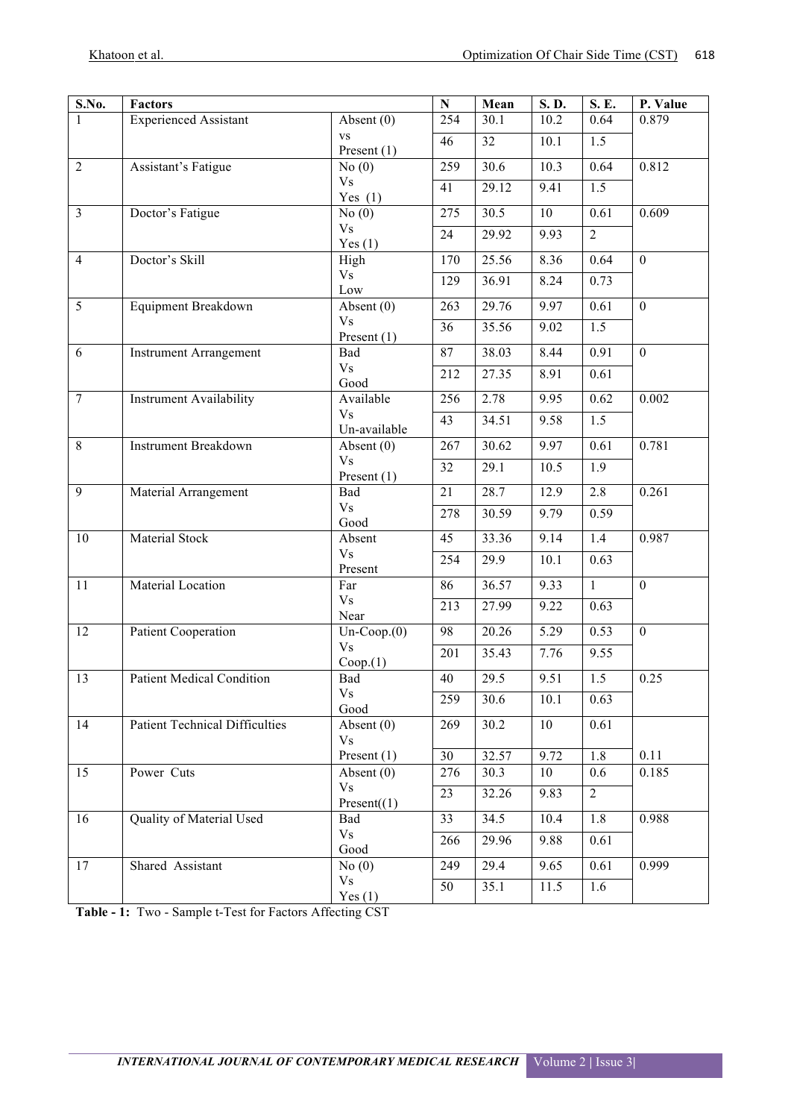| S.No.          | <b>Factors</b>                        |                            | $\mathbf N$ | Mean  | S.D. | S. E.          | P. Value       |
|----------------|---------------------------------------|----------------------------|-------------|-------|------|----------------|----------------|
| 1              | <b>Experienced Assistant</b>          | Absent $(0)$               | 254         | 30.1  | 10.2 | 0.64           | 0.879          |
|                |                                       | <b>VS</b><br>Present $(1)$ | 46          | 32    | 10.1 | 1.5            |                |
| $\overline{2}$ | Assistant's Fatigue                   | No(0)                      | 259         | 30.6  | 10.3 | 0.64           | 0.812          |
|                |                                       | <b>Vs</b>                  | 41          | 29.12 | 9.41 | 1.5            |                |
| $\overline{3}$ |                                       | Yes $(1)$                  | 275         | 30.5  | 10   |                | 0.609          |
|                | Doctor's Fatigue                      | No(0)<br><b>Vs</b>         |             |       |      | 0.61           |                |
|                |                                       | Yes $(1)$                  | 24          | 29.92 | 9.93 | $\overline{2}$ |                |
| $\overline{4}$ | Doctor's Skill                        | High                       | 170         | 25.56 | 8.36 | 0.64           | $\overline{0}$ |
|                |                                       | V <sub>S</sub><br>Low      | 129         | 36.91 | 8.24 | 0.73           |                |
| $\overline{5}$ | Equipment Breakdown                   | Absent (0)                 | 263         | 29.76 | 9.97 | 0.61           | $\mathbf{0}$   |
|                |                                       | V <sub>s</sub>             | 36          | 35.56 | 9.02 | 1.5            |                |
|                |                                       | Present $(1)$              |             |       |      |                |                |
| 6              | <b>Instrument Arrangement</b>         | Bad<br><b>Vs</b>           | 87          | 38.03 | 8.44 | 0.91           | $\overline{0}$ |
|                |                                       | Good                       | 212         | 27.35 | 8.91 | 0.61           |                |
| $\overline{7}$ | <b>Instrument Availability</b>        | Available                  | 256         | 2.78  | 9.95 | 0.62           | 0.002          |
|                |                                       | <b>Vs</b>                  | 43          | 34.51 | 9.58 | 1.5            |                |
| 8              | <b>Instrument Breakdown</b>           | Un-available<br>Absent (0) | 267         | 30.62 | 9.97 | 0.61           | 0.781          |
|                |                                       | <b>Vs</b>                  | 32          | 29.1  | 10.5 | 1.9            |                |
|                |                                       | Present $(1)$              |             |       |      |                |                |
| 9              | Material Arrangement                  | Bad                        | 21          | 28.7  | 12.9 | 2.8            | 0.261          |
|                |                                       | V <sub>S</sub><br>Good     | 278         | 30.59 | 9.79 | 0.59           |                |
| 10             | Material Stock                        | Absent                     | 45          | 33.36 | 9.14 | 1.4            | 0.987          |
|                |                                       | <b>Vs</b><br>Present       | 254         | 29.9  | 10.1 | 0.63           |                |
| 11             | <b>Material Location</b>              | Far                        | 86          | 36.57 | 9.33 | $\mathbf{1}$   | $\overline{0}$ |
|                |                                       | V <sub>S</sub>             | 213         | 27.99 | 9.22 | 0.63           |                |
|                |                                       | Near                       |             |       |      |                |                |
| 12             | <b>Patient Cooperation</b>            | $Un-Coop.(0)$<br><b>Vs</b> | 98          | 20.26 | 5.29 | 0.53           | $\mathbf{0}$   |
|                |                                       | Coop.(1)                   | 201         | 35.43 | 7.76 | 9.55           |                |
| 13             | <b>Patient Medical Condition</b>      | Bad                        | 40          | 29.5  | 9.51 | 1.5            | 0.25           |
|                |                                       | <b>Vs</b><br>Good          | 259         | 30.6  | 10.1 | 0.63           |                |
| 14             | <b>Patient Technical Difficulties</b> | Absent $(0)$               | 269         | 30.2  | 10   | 0.61           |                |
|                |                                       | <b>Vs</b>                  |             |       |      |                |                |
|                |                                       | Present $(1)$              | 30          | 32.57 | 9.72 | 1.8            | 0.11           |
| 15             | Power Cuts                            | Absent $(0)$<br><b>Vs</b>  | 276         | 30.3  | 10   | 0.6            | 0.185          |
|                |                                       | Present(1)                 | 23          | 32.26 | 9.83 | $\overline{2}$ |                |
| 16             | Quality of Material Used              | Bad                        | 33          | 34.5  | 10.4 | 1.8            | 0.988          |
|                |                                       | V <sub>S</sub><br>Good     | 266         | 29.96 | 9.88 | 0.61           |                |
| 17             | Shared Assistant                      | No(0)                      | 249         | 29.4  | 9.65 | 0.61           | 0.999          |
|                |                                       | V <sub>s</sub>             | 50          | 35.1  | 11.5 | 1.6            |                |
|                |                                       | Yes $(1)$                  |             |       |      |                |                |

**Table - 1:** Two - Sample t-Test for Factors Affecting CST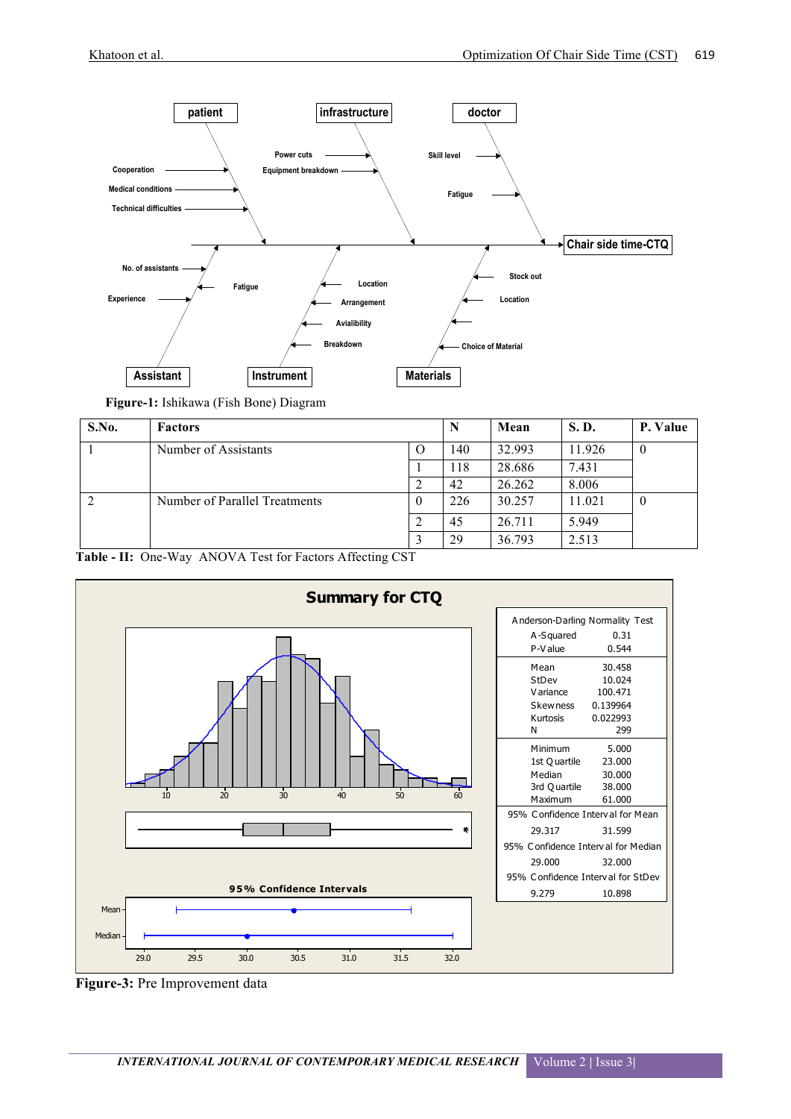

| Figure-1: Ishikawa (Fish Bone) Diagram |  |
|----------------------------------------|--|
|                                        |  |

| S.No. | <b>Factors</b>                   |     | N      | Mean   | <b>S.D.</b> | P. Value |
|-------|----------------------------------|-----|--------|--------|-------------|----------|
|       | Number of Assistants<br>$\Omega$ | 140 | 32.993 | 11.926 | $\theta$    |          |
|       |                                  |     | 118    | 28.686 | 7.431       |          |
|       |                                  |     | 42     | 26.262 | 8.006       |          |
|       | Number of Parallel Treatments    |     | 226    | 30.257 | 11.021      | $\bf{0}$ |
|       |                                  |     | 45     | 26.711 | 5.949       |          |
|       |                                  |     | 29     | 36.793 | 2.513       |          |





**Figure-3:** Pre Improvement data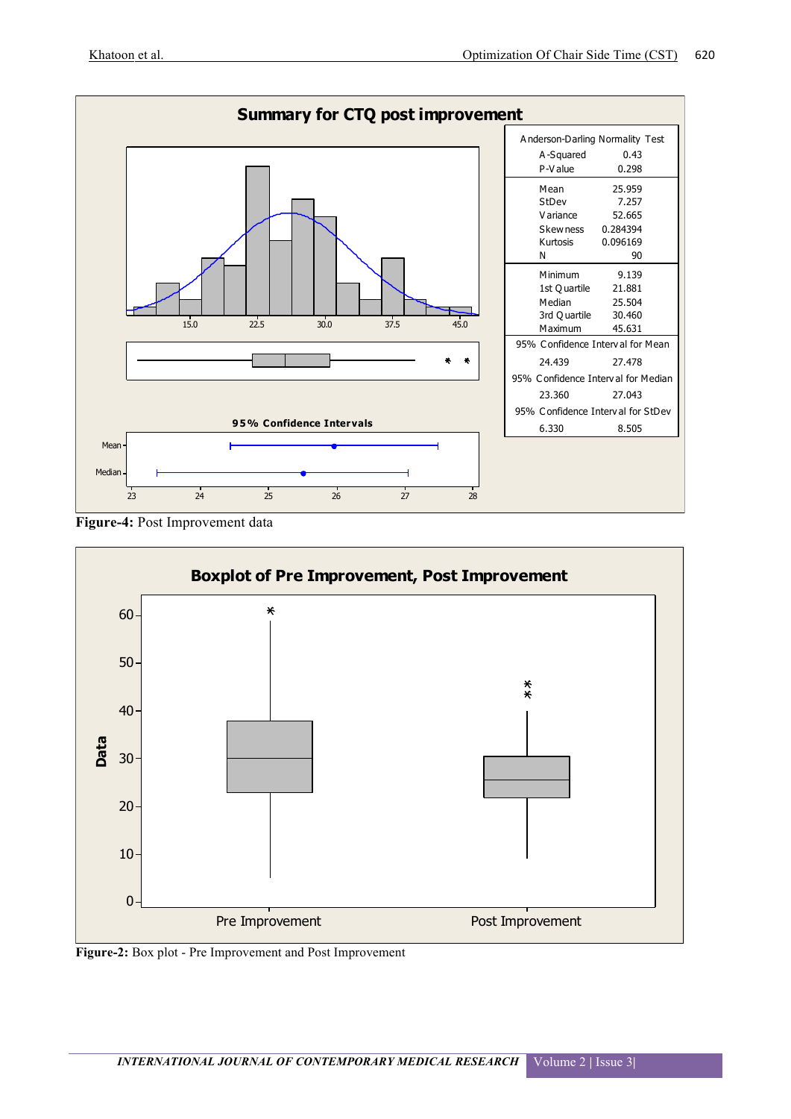

**Figure-4:** Post Improvement data



**Figure-2:** Box plot - Pre Improvement and Post Improvement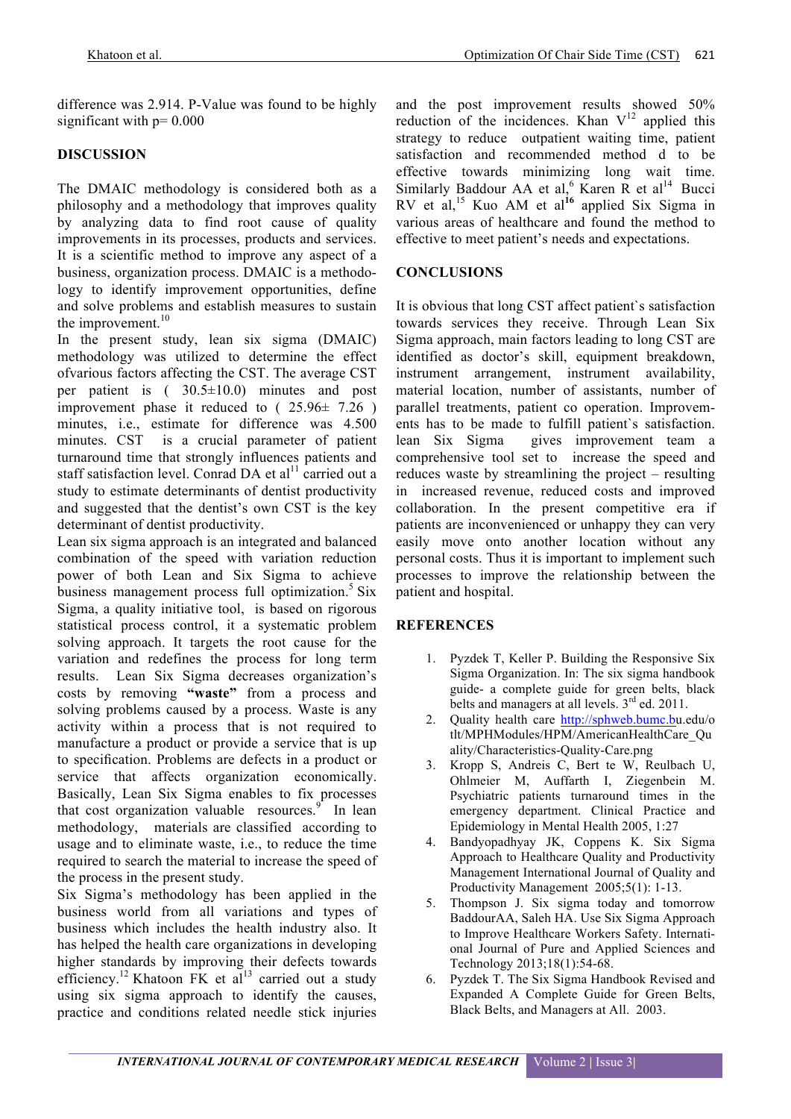difference was 2.914. P-Value was found to be highly significant with  $p = 0.000$ 

#### **DISCUSSION**

The DMAIC methodology is considered both as a philosophy and a methodology that improves quality by analyzing data to find root cause of quality improvements in its processes, products and services. It is a scientific method to improve any aspect of a business, organization process. DMAIC is a methodology to identify improvement opportunities, define and solve problems and establish measures to sustain the improvement. $10$ 

In the present study, lean six sigma (DMAIC) methodology was utilized to determine the effect ofvarious factors affecting the CST. The average CST per patient is ( 30.5±10.0) minutes and post improvement phase it reduced to  $(25.96 \pm 7.26)$ minutes, i.e., estimate for difference was 4.500 minutes. CST is a crucial parameter of patient turnaround time that strongly influences patients and staff satisfaction level. Conrad DA et al<sup>11</sup> carried out a study to estimate determinants of dentist productivity and suggested that the dentist's own CST is the key determinant of dentist productivity.

Lean six sigma approach is an integrated and balanced combination of the speed with variation reduction power of both Lean and Six Sigma to achieve business management process full optimization.<sup>5</sup> Six Sigma, a quality initiative tool, is based on rigorous statistical process control, it a systematic problem solving approach. It targets the root cause for the variation and redefines the process for long term results. Lean Six Sigma decreases organization's costs by removing **"waste"** from a process and solving problems caused by a process. Waste is any activity within a process that is not required to manufacture a product or provide a service that is up to specification. Problems are defects in a product or service that affects organization economically. Basically, Lean Six Sigma enables to fix processes that cost organization valuable resources. $\int$  In lean methodology, materials are classified according to usage and to eliminate waste, i.e., to reduce the time required to search the material to increase the speed of the process in the present study.

Six Sigma's methodology has been applied in the business world from all variations and types of business which includes the health industry also. It has helped the health care organizations in developing higher standards by improving their defects towards efficiency.<sup>12</sup> Khatoon FK et al<sup>13</sup> carried out a study using six sigma approach to identify the causes, practice and conditions related needle stick injuries and the post improvement results showed 50% reduction of the incidences. Khan  $V<sup>12</sup>$  applied this strategy to reduce outpatient waiting time, patient satisfaction and recommended method d to be effective towards minimizing long wait time. Similarly Baddour AA et al,<sup>6</sup> Karen R et al<sup>14</sup> Bucci RV et al, <sup>15</sup> Kuo AM et al**<sup>16</sup>** applied Six Sigma in various areas of healthcare and found the method to effective to meet patient's needs and expectations.

### **CONCLUSIONS**

It is obvious that long CST affect patient`s satisfaction towards services they receive. Through Lean Six Sigma approach, main factors leading to long CST are identified as doctor's skill, equipment breakdown, instrument arrangement, instrument availability, material location, number of assistants, number of parallel treatments, patient co operation. Improvements has to be made to fulfill patient`s satisfaction. lean Six Sigma gives improvement team a comprehensive tool set to increase the speed and reduces waste by streamlining the project – resulting in increased revenue, reduced costs and improved collaboration. In the present competitive era if patients are inconvenienced or unhappy they can very easily move onto another location without any personal costs. Thus it is important to implement such processes to improve the relationship between the patient and hospital.

#### **REFERENCES**

- 1. Pyzdek T, Keller P. Building the Responsive Six Sigma Organization. In: The six sigma handbook guide- a complete guide for green belts, black belts and managers at all levels.  $3<sup>rd</sup>$  ed. 2011.
- 2. Quality health care http://sphweb.bumc.bu.edu/o tlt/MPHModules/HPM/AmericanHealthCare\_Qu ality/Characteristics-Quality-Care.png
- 3. Kropp S, Andreis C, Bert te W, Reulbach U, Ohlmeier M, Auffarth I, Ziegenbein M. Psychiatric patients turnaround times in the emergency department. Clinical Practice and Epidemiology in Mental Health 2005, 1:27
- 4. Bandyopadhyay JK, Coppens K. Six Sigma Approach to Healthcare Quality and Productivity Management International Journal of Quality and Productivity Management 2005;5(1): 1-13.
- 5. Thompson J. Six sigma today and tomorrow BaddourAA, Saleh HA. Use Six Sigma Approach to Improve Healthcare Workers Safety. International Journal of Pure and Applied Sciences and Technology 2013;18(1):54-68.
- 6. Pyzdek T. The Six Sigma Handbook Revised and Expanded A Complete Guide for Green Belts, Black Belts, and Managers at All. 2003.